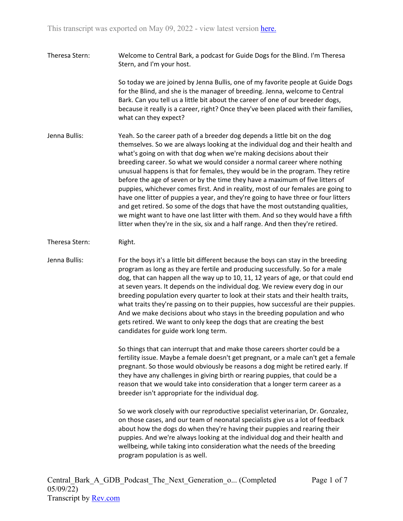Theresa Stern: Welcome to Central Bark, a podcast for Guide Dogs for the Blind. I'm Theresa Stern, and I'm your host.

> So today we are joined by Jenna Bullis, one of my favorite people at Guide Dogs for the Blind, and she is the manager of breeding. Jenna, welcome to Central Bark. Can you tell us a little bit about the career of one of our breeder dogs, because it really is a career, right? Once they've been placed with their families, what can they expect?

- Jenna Bullis: Yeah. So the career path of a breeder dog depends a little bit on the dog themselves. So we are always looking at the individual dog and their health and what's going on with that dog when we're making decisions about their breeding career. So what we would consider a normal career where nothing unusual happens is that for females, they would be in the program. They retire before the age of seven or by the time they have a maximum of five litters of puppies, whichever comes first. And in reality, most of our females are going to have one litter of puppies a year, and they're going to have three or four litters and get retired. So some of the dogs that have the most outstanding qualities, we might want to have one last litter with them. And so they would have a fifth litter when they're in the six, six and a half range. And then they're retired.
- Theresa Stern: Right.

Jenna Bullis: For the boys it's a little bit different because the boys can stay in the breeding program as long as they are fertile and producing successfully. So for a male dog, that can happen all the way up to 10, 11, 12 years of age, or that could end at seven years. It depends on the individual dog. We review every dog in our breeding population every quarter to look at their stats and their health traits, what traits they're passing on to their puppies, how successful are their puppies. And we make decisions about who stays in the breeding population and who gets retired. We want to only keep the dogs that are creating the best candidates for guide work long term.

> So things that can interrupt that and make those careers shorter could be a fertility issue. Maybe a female doesn't get pregnant, or a male can't get a female pregnant. So those would obviously be reasons a dog might be retired early. If they have any challenges in giving birth or rearing puppies, that could be a reason that we would take into consideration that a longer term career as a breeder isn't appropriate for the individual dog.

So we work closely with our reproductive specialist veterinarian, Dr. Gonzalez, on those cases, and our team of neonatal specialists give us a lot of feedback about how the dogs do when they're having their puppies and rearing their puppies. And we're always looking at the individual dog and their health and wellbeing, while taking into consideration what the needs of the breeding program population is as well.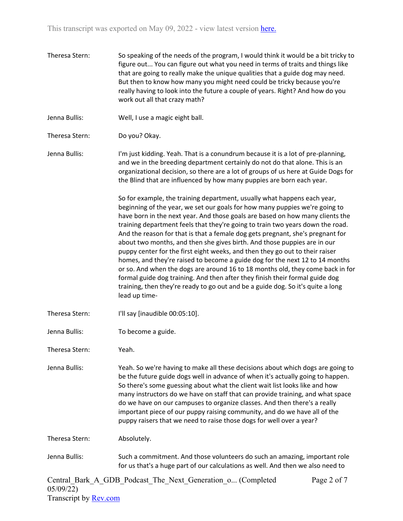- Theresa Stern: So speaking of the needs of the program, I would think it would be a bit tricky to figure out... You can figure out what you need in terms of traits and things like that are going to really make the unique qualities that a guide dog may need. But then to know how many you might need could be tricky because you're really having to look into the future a couple of years. Right? And how do you work out all that crazy math?
- Jenna Bullis: Well, I use a magic eight ball.
- Theresa Stern: Do you? Okay.
- Jenna Bullis: I'm just kidding. Yeah. That is a conundrum because it is a lot of pre-planning, and we in the breeding department certainly do not do that alone. This is an organizational decision, so there are a lot of groups of us here at Guide Dogs for the Blind that are influenced by how many puppies are born each year.

So for example, the training department, usually what happens each year, beginning of the year, we set our goals for how many puppies we're going to have born in the next year. And those goals are based on how many clients the training department feels that they're going to train two years down the road. And the reason for that is that a female dog gets pregnant, she's pregnant for about two months, and then she gives birth. And those puppies are in our puppy center for the first eight weeks, and then they go out to their raiser homes, and they're raised to become a guide dog for the next 12 to 14 months or so. And when the dogs are around 16 to 18 months old, they come back in for formal guide dog training. And then after they finish their formal guide dog training, then they're ready to go out and be a guide dog. So it's quite a long lead up time-

- Theresa Stern: I'll say [inaudible 00:05:10].
- Jenna Bullis: To become a guide.
- Theresa Stern: Yeah.

Jenna Bullis: Yeah. So we're having to make all these decisions about which dogs are going to be the future guide dogs well in advance of when it's actually going to happen. So there's some guessing about what the client wait list looks like and how many instructors do we have on staff that can provide training, and what space do we have on our campuses to organize classes. And then there's a really important piece of our puppy raising community, and do we have all of the puppy raisers that we need to raise those dogs for well over a year?

Theresa Stern: Absolutely.

Jenna Bullis: Such a commitment. And those volunteers do such an amazing, important role for us that's a huge part of our calculations as well. And then we also need to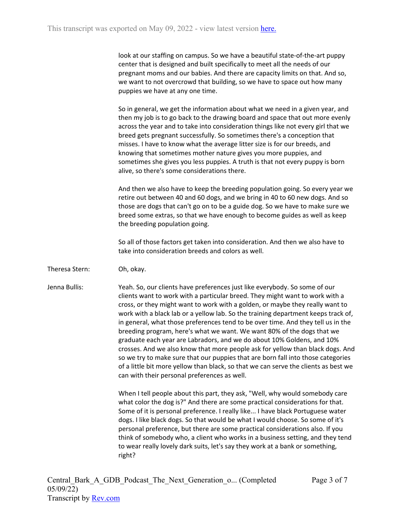look at our staffing on campus. So we have a beautiful state-of-the-art puppy center that is designed and built specifically to meet all the needs of our pregnant moms and our babies. And there are capacity limits on that. And so, we want to not overcrowd that building, so we have to space out how many puppies we have at any one time.

So in general, we get the information about what we need in a given year, and then my job is to go back to the drawing board and space that out more evenly across the year and to take into consideration things like not every girl that we breed gets pregnant successfully. So sometimes there's a conception that misses. I have to know what the average litter size is for our breeds, and knowing that sometimes mother nature gives you more puppies, and sometimes she gives you less puppies. A truth is that not every puppy is born alive, so there's some considerations there.

And then we also have to keep the breeding population going. So every year we retire out between 40 and 60 dogs, and we bring in 40 to 60 new dogs. And so those are dogs that can't go on to be a guide dog. So we have to make sure we breed some extras, so that we have enough to become guides as well as keep the breeding population going.

So all of those factors get taken into consideration. And then we also have to take into consideration breeds and colors as well.

Theresa Stern: Oh, okay.

Jenna Bullis: Yeah. So, our clients have preferences just like everybody. So some of our clients want to work with a particular breed. They might want to work with a cross, or they might want to work with a golden, or maybe they really want to work with a black lab or a yellow lab. So the training department keeps track of, in general, what those preferences tend to be over time. And they tell us in the breeding program, here's what we want. We want 80% of the dogs that we graduate each year are Labradors, and we do about 10% Goldens, and 10% crosses. And we also know that more people ask for yellow than black dogs. And so we try to make sure that our puppies that are born fall into those categories of a little bit more yellow than black, so that we can serve the clients as best we can with their personal preferences as well.

> When I tell people about this part, they ask, "Well, why would somebody care what color the dog is?" And there are some practical considerations for that. Some of it is personal preference. I really like... I have black Portuguese water dogs. I like black dogs. So that would be what I would choose. So some of it's personal preference, but there are some practical considerations also. If you think of somebody who, a client who works in a business setting, and they tend to wear really lovely dark suits, let's say they work at a bank or something, right?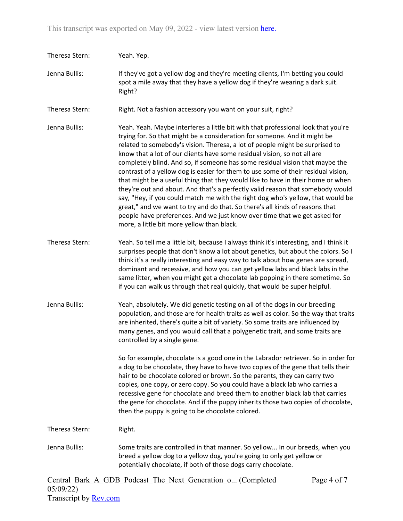| Theresa Stern: | Yeah. Yep.                                                                                                                                                                                                                                                                                                                                                                                                                                                                                                                                                                                                                                                                                                                                                                                                                                                                                                                                                         |
|----------------|--------------------------------------------------------------------------------------------------------------------------------------------------------------------------------------------------------------------------------------------------------------------------------------------------------------------------------------------------------------------------------------------------------------------------------------------------------------------------------------------------------------------------------------------------------------------------------------------------------------------------------------------------------------------------------------------------------------------------------------------------------------------------------------------------------------------------------------------------------------------------------------------------------------------------------------------------------------------|
| Jenna Bullis:  | If they've got a yellow dog and they're meeting clients, I'm betting you could<br>spot a mile away that they have a yellow dog if they're wearing a dark suit.<br>Right?                                                                                                                                                                                                                                                                                                                                                                                                                                                                                                                                                                                                                                                                                                                                                                                           |
| Theresa Stern: | Right. Not a fashion accessory you want on your suit, right?                                                                                                                                                                                                                                                                                                                                                                                                                                                                                                                                                                                                                                                                                                                                                                                                                                                                                                       |
| Jenna Bullis:  | Yeah. Yeah. Maybe interferes a little bit with that professional look that you're<br>trying for. So that might be a consideration for someone. And it might be<br>related to somebody's vision. Theresa, a lot of people might be surprised to<br>know that a lot of our clients have some residual vision, so not all are<br>completely blind. And so, if someone has some residual vision that maybe the<br>contrast of a yellow dog is easier for them to use some of their residual vision,<br>that might be a useful thing that they would like to have in their home or when<br>they're out and about. And that's a perfectly valid reason that somebody would<br>say, "Hey, if you could match me with the right dog who's yellow, that would be<br>great," and we want to try and do that. So there's all kinds of reasons that<br>people have preferences. And we just know over time that we get asked for<br>more, a little bit more yellow than black. |
| Theresa Stern: | Yeah. So tell me a little bit, because I always think it's interesting, and I think it<br>surprises people that don't know a lot about genetics, but about the colors. So I<br>think it's a really interesting and easy way to talk about how genes are spread,<br>dominant and recessive, and how you can get yellow labs and black labs in the<br>same litter, when you might get a chocolate lab popping in there sometime. So<br>if you can walk us through that real quickly, that would be super helpful.                                                                                                                                                                                                                                                                                                                                                                                                                                                    |
| Jenna Bullis:  | Yeah, absolutely. We did genetic testing on all of the dogs in our breeding<br>population, and those are for health traits as well as color. So the way that traits<br>are inherited, there's quite a bit of variety. So some traits are influenced by<br>many genes, and you would call that a polygenetic trait, and some traits are<br>controlled by a single gene.                                                                                                                                                                                                                                                                                                                                                                                                                                                                                                                                                                                             |
|                | So for example, chocolate is a good one in the Labrador retriever. So in order for<br>a dog to be chocolate, they have to have two copies of the gene that tells their<br>hair to be chocolate colored or brown. So the parents, they can carry two<br>copies, one copy, or zero copy. So you could have a black lab who carries a<br>recessive gene for chocolate and breed them to another black lab that carries<br>the gene for chocolate. And if the puppy inherits those two copies of chocolate,<br>then the puppy is going to be chocolate colored.                                                                                                                                                                                                                                                                                                                                                                                                        |
| Theresa Stern: | Right.                                                                                                                                                                                                                                                                                                                                                                                                                                                                                                                                                                                                                                                                                                                                                                                                                                                                                                                                                             |
| Jenna Bullis:  | Some traits are controlled in that manner. So yellow In our breeds, when you<br>breed a yellow dog to a yellow dog, you're going to only get yellow or<br>potentially chocolate, if both of those dogs carry chocolate.                                                                                                                                                                                                                                                                                                                                                                                                                                                                                                                                                                                                                                                                                                                                            |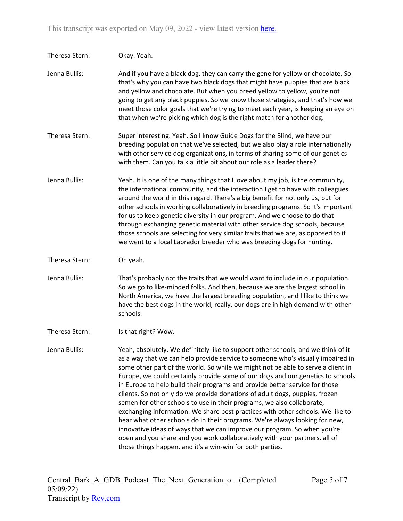| Theresa Stern: | Okay. Yeah.                                                                                                                                                                                                                                                                                                                                                                                                                                                                                                                                                                                                                                                        |
|----------------|--------------------------------------------------------------------------------------------------------------------------------------------------------------------------------------------------------------------------------------------------------------------------------------------------------------------------------------------------------------------------------------------------------------------------------------------------------------------------------------------------------------------------------------------------------------------------------------------------------------------------------------------------------------------|
| Jenna Bullis:  | And if you have a black dog, they can carry the gene for yellow or chocolate. So<br>that's why you can have two black dogs that might have puppies that are black<br>and yellow and chocolate. But when you breed yellow to yellow, you're not<br>going to get any black puppies. So we know those strategies, and that's how we<br>meet those color goals that we're trying to meet each year, is keeping an eye on<br>that when we're picking which dog is the right match for another dog.                                                                                                                                                                      |
| Theresa Stern: | Super interesting. Yeah. So I know Guide Dogs for the Blind, we have our<br>breeding population that we've selected, but we also play a role internationally<br>with other service dog organizations, in terms of sharing some of our genetics<br>with them. Can you talk a little bit about our role as a leader there?                                                                                                                                                                                                                                                                                                                                           |
| Jenna Bullis:  | Yeah. It is one of the many things that I love about my job, is the community,<br>the international community, and the interaction I get to have with colleagues<br>around the world in this regard. There's a big benefit for not only us, but for<br>other schools in working collaboratively in breeding programs. So it's important<br>for us to keep genetic diversity in our program. And we choose to do that<br>through exchanging genetic material with other service dog schools, because<br>those schools are selecting for very similar traits that we are, as opposed to if<br>we went to a local Labrador breeder who was breeding dogs for hunting. |
| Theresa Stern: | Oh yeah.                                                                                                                                                                                                                                                                                                                                                                                                                                                                                                                                                                                                                                                           |
| Jenna Bullis:  | That's probably not the traits that we would want to include in our population.<br>So we go to like-minded folks. And then, because we are the largest school in<br>North America, we have the largest breeding population, and I like to think we<br>have the best dogs in the world, really, our dogs are in high demand with other<br>schools.                                                                                                                                                                                                                                                                                                                  |
| Theresa Stern: | Is that right? Wow.                                                                                                                                                                                                                                                                                                                                                                                                                                                                                                                                                                                                                                                |
| Jenna Bullis:  | Yeah, absolutely. We definitely like to support other schools, and we think of it<br>as a way that we can help provide service to someone who's visually impaired in<br>some other part of the world. So while we might not be able to serve a client in<br>Europe, we could certainly provide some of our dogs and our genetics to schools<br>in Europe to help build their programs and provide better service for those<br>clients. So not only do we provide donations of adult dogs, puppies, frozen                                                                                                                                                          |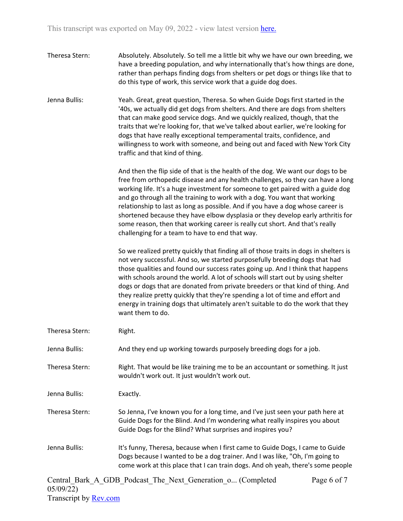- Theresa Stern: Absolutely. Absolutely. So tell me a little bit why we have our own breeding, we have a breeding population, and why internationally that's how things are done, rather than perhaps finding dogs from shelters or pet dogs or things like that to do this type of work, this service work that a guide dog does.
- Jenna Bullis: Yeah. Great, great question, Theresa. So when Guide Dogs first started in the '40s, we actually did get dogs from shelters. And there are dogs from shelters that can make good service dogs. And we quickly realized, though, that the traits that we're looking for, that we've talked about earlier, we're looking for dogs that have really exceptional temperamental traits, confidence, and willingness to work with someone, and being out and faced with New York City traffic and that kind of thing.

And then the flip side of that is the health of the dog. We want our dogs to be free from orthopedic disease and any health challenges, so they can have a long working life. It's a huge investment for someone to get paired with a guide dog and go through all the training to work with a dog. You want that working relationship to last as long as possible. And if you have a dog whose career is shortened because they have elbow dysplasia or they develop early arthritis for some reason, then that working career is really cut short. And that's really challenging for a team to have to end that way.

So we realized pretty quickly that finding all of those traits in dogs in shelters is not very successful. And so, we started purposefully breeding dogs that had those qualities and found our success rates going up. And I think that happens with schools around the world. A lot of schools will start out by using shelter dogs or dogs that are donated from private breeders or that kind of thing. And they realize pretty quickly that they're spending a lot of time and effort and energy in training dogs that ultimately aren't suitable to do the work that they want them to do.

Theresa Stern: Right.

Jenna Bullis: And they end up working towards purposely breeding dogs for a job.

Theresa Stern: Right. That would be like training me to be an accountant or something. It just wouldn't work out. It just wouldn't work out.

Jenna Bullis: Exactly.

Theresa Stern: So Jenna, I've known you for a long time, and I've just seen your path here at Guide Dogs for the Blind. And I'm wondering what really inspires you about Guide Dogs for the Blind? What surprises and inspires you?

Jenna Bullis: It's funny, Theresa, because when I first came to Guide Dogs, I came to Guide Dogs because I wanted to be a dog trainer. And I was like, "Oh, I'm going to come work at this place that I can train dogs. And oh yeah, there's some people